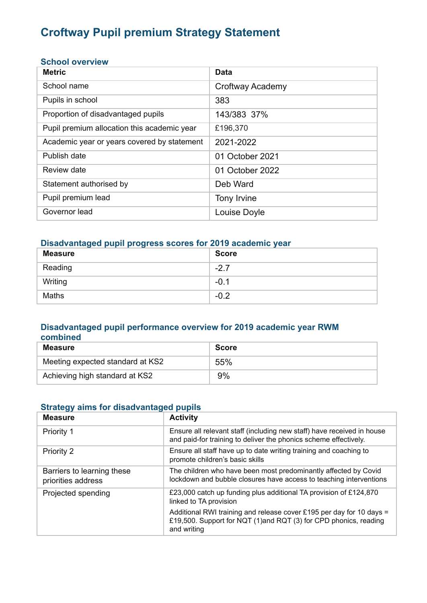# **Croftway Pupil premium Strategy Statement**

#### **School overview**

| <b>Metric</b>                               | <b>Data</b>      |
|---------------------------------------------|------------------|
| School name                                 | Croftway Academy |
| Pupils in school                            | 383              |
| Proportion of disadvantaged pupils          | 143/383 37%      |
| Pupil premium allocation this academic year | £196,370         |
| Academic year or years covered by statement | 2021-2022        |
| Publish date                                | 01 October 2021  |
| Review date                                 | 01 October 2022  |
| Statement authorised by                     | Deb Ward         |
| Pupil premium lead                          | Tony Irvine      |
| Governor lead                               | Louise Doyle     |

### **Disadvantaged pupil progress scores for 2019 academic year**

| <b>Measure</b> | <b>Score</b> |
|----------------|--------------|
| Reading        | $-2.7$       |
| Writing        | $-0.1$       |
| Maths          | $-0.2$       |

#### **Disadvantaged pupil performance overview for 2019 academic year RWM combined**

| Measure                          | <b>Score</b> |
|----------------------------------|--------------|
| Meeting expected standard at KS2 | 55%          |
| Achieving high standard at KS2   | 9%           |

### **Strategy aims for disadvantaged pupils**

| <b>Measure</b>                                   | <b>Activity</b>                                                                                                                                         |
|--------------------------------------------------|---------------------------------------------------------------------------------------------------------------------------------------------------------|
| <b>Priority 1</b>                                | Ensure all relevant staff (including new staff) have received in house<br>and paid-for training to deliver the phonics scheme effectively.              |
| Priority 2                                       | Ensure all staff have up to date writing training and coaching to<br>promote children's basic skills                                                    |
| Barriers to learning these<br>priorities address | The children who have been most predominantly affected by Covid<br>lockdown and bubble closures have access to teaching interventions                   |
| Projected spending                               | £23,000 catch up funding plus additional TA provision of £124,870<br>linked to TA provision                                                             |
|                                                  | Additional RWI training and release cover £195 per day for 10 days =<br>£19,500. Support for NQT (1)and RQT (3) for CPD phonics, reading<br>and writing |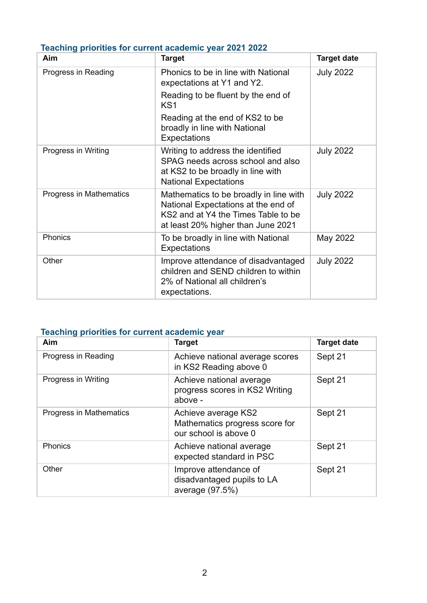| TUUUTIIN PITUTTUU TUI UUTTUTTUU UUUUUTIITU YUUT LUL LULLE<br>Aim | <b>Target</b>                                                                                                                                              | <b>Target date</b> |
|------------------------------------------------------------------|------------------------------------------------------------------------------------------------------------------------------------------------------------|--------------------|
| Progress in Reading                                              | Phonics to be in line with National<br>expectations at Y1 and Y2.                                                                                          | <b>July 2022</b>   |
|                                                                  | Reading to be fluent by the end of<br>KS <sub>1</sub>                                                                                                      |                    |
|                                                                  | Reading at the end of KS2 to be<br>broadly in line with National<br><b>Expectations</b>                                                                    |                    |
| Progress in Writing                                              | Writing to address the identified<br>SPAG needs across school and also<br>at KS2 to be broadly in line with<br><b>National Expectations</b>                | <b>July 2022</b>   |
| Progress in Mathematics                                          | Mathematics to be broadly in line with<br>National Expectations at the end of<br>KS2 and at Y4 the Times Table to be<br>at least 20% higher than June 2021 | <b>July 2022</b>   |
| Phonics                                                          | To be broadly in line with National<br><b>Expectations</b>                                                                                                 | May 2022           |
| Other                                                            | Improve attendance of disadvantaged<br>children and SEND children to within<br>2% of National all children's<br>expectations.                              | <b>July 2022</b>   |

## **Teaching priorities for current academic year 2021 2022**

# **Teaching priorities for current academic year**

| Aim                     | <b>Target</b>                                                                  | <b>Target date</b> |
|-------------------------|--------------------------------------------------------------------------------|--------------------|
| Progress in Reading     | Achieve national average scores<br>in KS2 Reading above 0                      | Sept 21            |
| Progress in Writing     | Achieve national average<br>progress scores in KS2 Writing<br>above -          | Sept 21            |
| Progress in Mathematics | Achieve average KS2<br>Mathematics progress score for<br>our school is above 0 | Sept 21            |
| <b>Phonics</b>          | Achieve national average<br>expected standard in PSC                           | Sept 21            |
| Other                   | Improve attendance of<br>disadvantaged pupils to LA<br>average (97.5%)         | Sept 21            |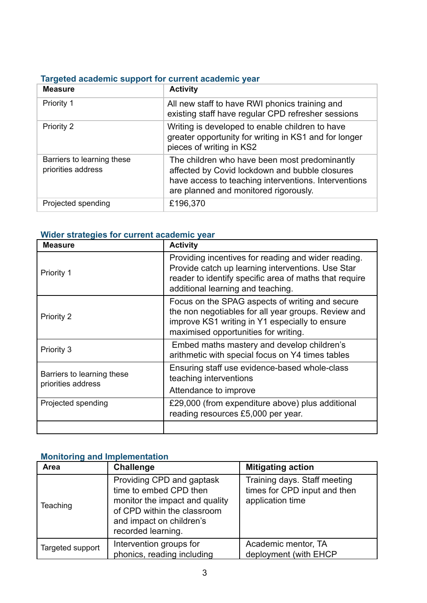# **Targeted academic support for current academic year**

| <b>Measure</b>                                   | <b>Activity</b>                                                                                                                                                                                  |
|--------------------------------------------------|--------------------------------------------------------------------------------------------------------------------------------------------------------------------------------------------------|
| Priority 1                                       | All new staff to have RWI phonics training and<br>existing staff have regular CPD refresher sessions                                                                                             |
| <b>Priority 2</b>                                | Writing is developed to enable children to have<br>greater opportunity for writing in KS1 and for longer<br>pieces of writing in KS2                                                             |
| Barriers to learning these<br>priorities address | The children who have been most predominantly<br>affected by Covid lockdown and bubble closures<br>have access to teaching interventions. Interventions<br>are planned and monitored rigorously. |
| Projected spending                               | £196,370                                                                                                                                                                                         |

### **Wider strategies for current academic year**

| <b>Measure</b>                                   | <b>Activity</b>                                                                                                                                                                                         |
|--------------------------------------------------|---------------------------------------------------------------------------------------------------------------------------------------------------------------------------------------------------------|
| <b>Priority 1</b>                                | Providing incentives for reading and wider reading.<br>Provide catch up learning interventions. Use Star<br>reader to identify specific area of maths that require<br>additional learning and teaching. |
| Priority 2                                       | Focus on the SPAG aspects of writing and secure<br>the non negotiables for all year groups. Review and<br>improve KS1 writing in Y1 especially to ensure<br>maximised opportunities for writing.        |
| Priority 3                                       | Embed maths mastery and develop children's<br>arithmetic with special focus on Y4 times tables                                                                                                          |
| Barriers to learning these<br>priorities address | Ensuring staff use evidence-based whole-class<br>teaching interventions<br>Attendance to improve                                                                                                        |
| Projected spending                               | £29,000 (from expenditure above) plus additional<br>reading resources £5,000 per year.                                                                                                                  |
|                                                  |                                                                                                                                                                                                         |

# **Monitoring and Implementation**

| Area             | <b>Challenge</b>                                                                                                                                                       | <b>Mitigating action</b>                                                         |
|------------------|------------------------------------------------------------------------------------------------------------------------------------------------------------------------|----------------------------------------------------------------------------------|
| Teaching         | Providing CPD and gaptask<br>time to embed CPD then<br>monitor the impact and quality<br>of CPD within the classroom<br>and impact on children's<br>recorded learning. | Training days. Staff meeting<br>times for CPD input and then<br>application time |
| Targeted support | Intervention groups for<br>phonics, reading including                                                                                                                  | Academic mentor, TA<br>deployment (with EHCP                                     |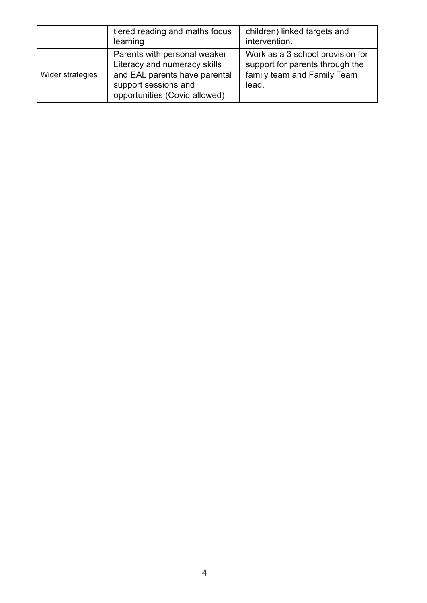|                  | tiered reading and maths focus<br>learning                                                                                                             | children) linked targets and<br>intervention.                                                               |
|------------------|--------------------------------------------------------------------------------------------------------------------------------------------------------|-------------------------------------------------------------------------------------------------------------|
| Wider strategies | Parents with personal weaker<br>Literacy and numeracy skills<br>and EAL parents have parental<br>support sessions and<br>opportunities (Covid allowed) | Work as a 3 school provision for<br>support for parents through the<br>family team and Family Team<br>lead. |